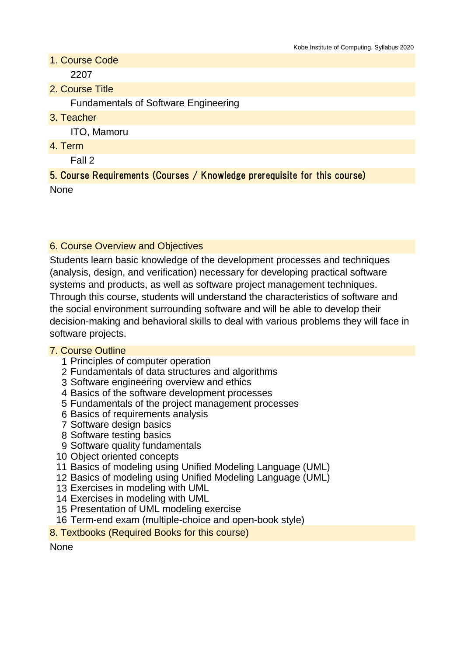1. Course Code

2207

2. Course Title

Fundamentals of Software Engineering

3. Teacher

ITO, Mamoru

4. Term

Fall 2

5. Course Requirements (Courses / Knowledge prerequisite for this course) None

#### 6. Course Overview and Objectives

Students learn basic knowledge of the development processes and techniques (analysis, design, and verification) necessary for developing practical software systems and products, as well as software project management techniques. Through this course, students will understand the characteristics of software and the social environment surrounding software and will be able to develop their decision-making and behavioral skills to deal with various problems they will face in software projects.

#### 7. Course Outline

- 1 Principles of computer operation
- 2 Fundamentals of data structures and algorithms
- 3 Software engineering overview and ethics
- 4 Basics of the software development processes
- 5 Fundamentals of the project management processes
- 6 Basics of requirements analysis
- 7 Software design basics
- 8 Software testing basics
- 9 Software quality fundamentals
- 10 Object oriented concepts
- 11 Basics of modeling using Unified Modeling Language (UML)
- 12 Basics of modeling using Unified Modeling Language (UML)
- 13 Exercises in modeling with UML
- 14 Exercises in modeling with UML
- 15 Presentation of UML modeling exercise
- 16 Term-end exam (multiple-choice and open-book style)
- 8. Textbooks (Required Books for this course)

None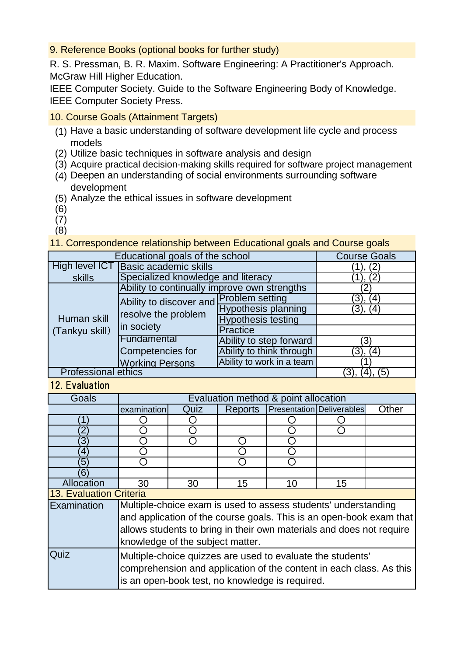9. Reference Books (optional books for further study)

R. S. Pressman, B. R. Maxim. Software Engineering: A Practitioner's Approach. McGraw Hill Higher Education.

IEEE Computer Society. Guide to the Software Engineering Body of Knowledge. IEEE Computer Society Press.

- 10. Course Goals (Attainment Targets)
	- (1) Have a basic understanding of software development life cycle and process models
	- (2) Utilize basic techniques in software analysis and design
	- (3) Acquire practical decision-making skills required for software project management
	- (4) Deepen an understanding of social environments surrounding software development
	- (5) Analyze the ethical issues in software development
	- (6)
	- (7)
	- (8)

### 11. Correspondence relationship between Educational goals and Course goals

| Educational goals of the school | <b>Course Goals</b>                                                          |                            |            |
|---------------------------------|------------------------------------------------------------------------------|----------------------------|------------|
| High level ICT                  | $^{\prime}$ 2                                                                |                            |            |
| skills                          | Specialized knowledge and literacy                                           | (2)                        |            |
| Human skill<br>(Tankyu skill)   | Ability to continually improve own strengths                                 |                            |            |
|                                 | Ability to discover and Problem setting<br>resolve the problem<br>in society |                            | (4)        |
|                                 |                                                                              | <b>Hypothesis planning</b> | (4)<br>3). |
|                                 |                                                                              | <b>Hypothesis testing</b>  |            |
|                                 |                                                                              | <b>Practice</b>            |            |
|                                 | Fundamental                                                                  | Ability to step forward    | ΄3         |
|                                 | Competencies for                                                             | Ability to think through   | 3),<br>(4) |
|                                 | <b>Working Persons</b>                                                       | Ability to work in a team  |            |
| <b>Professional ethics</b>      | (5                                                                           |                            |            |

# 12. Evaluation

| Goals                          | Evaluation method & point allocation                                 |      |         |    |                                  |       |  |
|--------------------------------|----------------------------------------------------------------------|------|---------|----|----------------------------------|-------|--|
|                                | examination                                                          | Quiz | Reports |    | <b>Presentation Deliverables</b> | Other |  |
|                                |                                                                      |      |         |    |                                  |       |  |
|                                |                                                                      |      |         |    |                                  |       |  |
| ΄3                             |                                                                      |      |         |    |                                  |       |  |
| 4                              |                                                                      |      |         |    |                                  |       |  |
| 5                              |                                                                      |      |         |    |                                  |       |  |
| 6                              |                                                                      |      |         |    |                                  |       |  |
| Allocation                     | 30                                                                   | 30   | 15      | 10 | 15                               |       |  |
| <b>13. Evaluation Criteria</b> |                                                                      |      |         |    |                                  |       |  |
| Examination                    | Multiple-choice exam is used to assess students' understanding       |      |         |    |                                  |       |  |
|                                | and application of the course goals. This is an open-book exam that  |      |         |    |                                  |       |  |
|                                | allows students to bring in their own materials and does not require |      |         |    |                                  |       |  |
|                                | knowledge of the subject matter.                                     |      |         |    |                                  |       |  |
| Quiz                           | Multiple-choice quizzes are used to evaluate the students'           |      |         |    |                                  |       |  |
|                                | comprehension and application of the content in each class. As this  |      |         |    |                                  |       |  |
|                                |                                                                      |      |         |    |                                  |       |  |
|                                | is an open-book test, no knowledge is required.                      |      |         |    |                                  |       |  |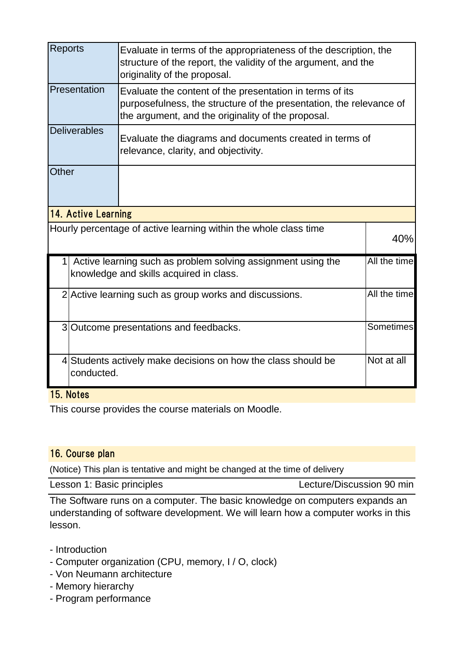| <b>Reports</b>                                                                                                          |                                                                                                                        | Evaluate in terms of the appropriateness of the description, the<br>structure of the report, the validity of the argument, and the<br>originality of the proposal.                    |  |  |  |  |
|-------------------------------------------------------------------------------------------------------------------------|------------------------------------------------------------------------------------------------------------------------|---------------------------------------------------------------------------------------------------------------------------------------------------------------------------------------|--|--|--|--|
|                                                                                                                         | Presentation                                                                                                           | Evaluate the content of the presentation in terms of its<br>purposefulness, the structure of the presentation, the relevance of<br>the argument, and the originality of the proposal. |  |  |  |  |
|                                                                                                                         | <b>Deliverables</b><br>Evaluate the diagrams and documents created in terms of<br>relevance, clarity, and objectivity. |                                                                                                                                                                                       |  |  |  |  |
| Other                                                                                                                   |                                                                                                                        |                                                                                                                                                                                       |  |  |  |  |
| 14. Active Learning                                                                                                     |                                                                                                                        |                                                                                                                                                                                       |  |  |  |  |
| Hourly percentage of active learning within the whole class time                                                        | 40%                                                                                                                    |                                                                                                                                                                                       |  |  |  |  |
| All the time<br>Active learning such as problem solving assignment using the<br>knowledge and skills acquired in class. |                                                                                                                        |                                                                                                                                                                                       |  |  |  |  |
|                                                                                                                         | 2 Active learning such as group works and discussions.                                                                 | All the time                                                                                                                                                                          |  |  |  |  |
|                                                                                                                         | 3 Outcome presentations and feedbacks.                                                                                 |                                                                                                                                                                                       |  |  |  |  |
|                                                                                                                         | 4 Students actively make decisions on how the class should be<br>conducted.                                            |                                                                                                                                                                                       |  |  |  |  |

### 15. Notes

This course provides the course materials on Moodle.

# 16. Course plan

(Notice) This plan is tentative and might be changed at the time of delivery

Lesson 1: Basic principles Lecture/Discussion 90 min

The Software runs on a computer. The basic knowledge on computers expands an understanding of software development. We will learn how a computer works in this lesson.

- Introduction
- Computer organization (CPU, memory, I / O, clock)
- Von Neumann architecture
- Memory hierarchy
- Program performance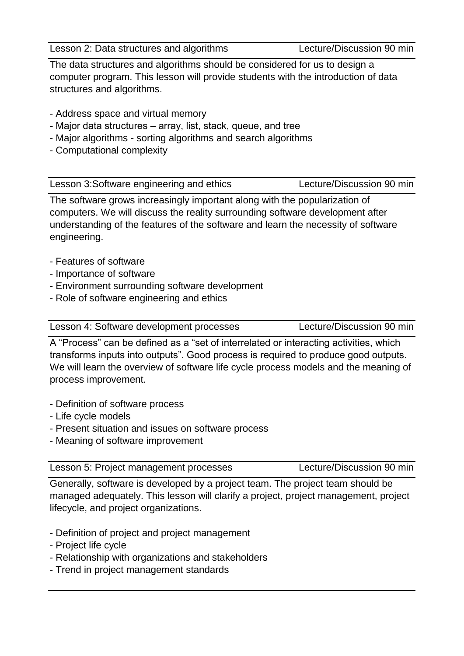Lesson 2: Data structures and algorithms Lecture/Discussion 90 min

The data structures and algorithms should be considered for us to design a computer program. This lesson will provide students with the introduction of data structures and algorithms.

- Address space and virtual memory
- Major data structures array, list, stack, queue, and tree
- Major algorithms sorting algorithms and search algorithms
- Computational complexity

Lesson 3:Software engineering and ethics Lecture/Discussion 90 min

The software grows increasingly important along with the popularization of computers. We will discuss the reality surrounding software development after understanding of the features of the software and learn the necessity of software engineering.

- Features of software
- Importance of software
- Environment surrounding software development
- Role of software engineering and ethics

Lesson 4: Software development processes Lecture/Discussion 90 min

A "Process" can be defined as a "set of interrelated or interacting activities, which transforms inputs into outputs". Good process is required to produce good outputs. We will learn the overview of software life cycle process models and the meaning of process improvement.

- Definition of software process
- Life cycle models
- Present situation and issues on software process
- Meaning of software improvement

Generally, software is developed by a project team. The project team should be managed adequately. This lesson will clarify a project, project management, project lifecycle, and project organizations.

- Definition of project and project management
- Project life cycle
- Relationship with organizations and stakeholders
- Trend in project management standards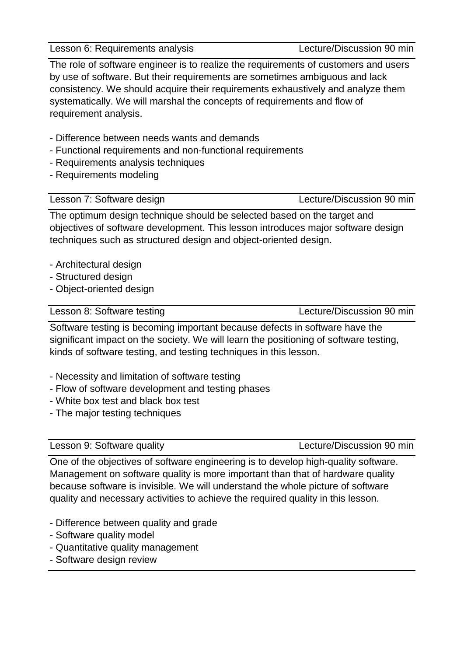Lesson 6: Requirements analysis Lecture/Discussion 90 min

The role of software engineer is to realize the requirements of customers and users by use of software. But their requirements are sometimes ambiguous and lack consistency. We should acquire their requirements exhaustively and analyze them systematically. We will marshal the concepts of requirements and flow of requirement analysis.

- Difference between needs wants and demands
- Functional requirements and non-functional requirements
- Requirements analysis techniques
- Requirements modeling

Lesson 7: Software design Lecture/Discussion 90 min

The optimum design technique should be selected based on the target and objectives of software development. This lesson introduces major software design techniques such as structured design and object-oriented design.

- Architectural design
- Structured design
- Object-oriented design

Lesson 8: Software testing Lecture/Discussion 90 min

Software testing is becoming important because defects in software have the significant impact on the society. We will learn the positioning of software testing, kinds of software testing, and testing techniques in this lesson.

- Necessity and limitation of software testing
- Flow of software development and testing phases
- White box test and black box test
- The major testing techniques

Lesson 9: Software quality Lecture/Discussion 90 min

One of the objectives of software engineering is to develop high-quality software. Management on software quality is more important than that of hardware quality because software is invisible. We will understand the whole picture of software quality and necessary activities to achieve the required quality in this lesson.

- Difference between quality and grade
- Software quality model
- Quantitative quality management
- Software design review